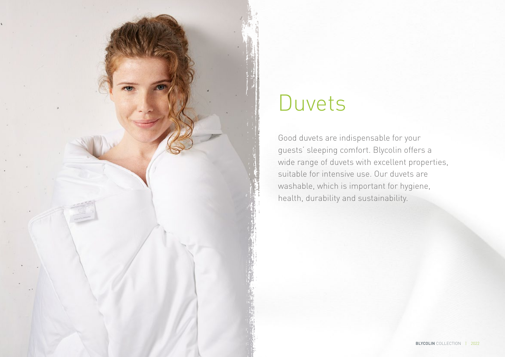

# Duvets

Good duvets are indispensable for your guests' sleeping comfort. Blycolin offers a wide range of duvets with excellent properties, suitable for intensive use. Our duvets are washable, which is important for hygiene, health, durability and sustainability.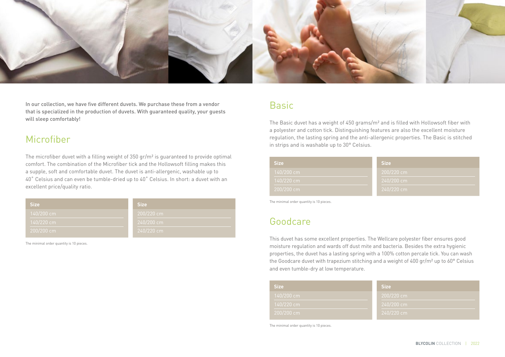

In our collection, we have five different duvets. We purchase these from a vendor that is specialized in the production of duvets. With guaranteed quality, your guests will sleep comfortably!

#### Microfiber

The microfiber duvet with a filling weight of 350 gr/m² is guaranteed to provide optimal comfort. The combination of the Microfiber tick and the Hollowsoft filling makes this a supple, soft and comfortable duvet. The duvet is anti-allergenic, washable up to 40˚ Celsius and can even be tumble-dried up to 40˚ Celsius. In short: a duvet with an excellent price/quality ratio.

| <b>Size</b> | <b>Size</b> |
|-------------|-------------|
| 140/200 cm  | 200/220 cm  |
| 140/220 cm  | 240/200 cm  |
| 200/200 cm  | 240/220 cm  |

The minimal order quantity is 10 pieces.

## Basic

The Basic duvet has a weight of 450 grams/m² and is filled with Hollowsoft fiber with a polyester and cotton tick. Distinguishing features are also the excellent moisture regulation, the lasting spring and the anti-allergenic properties. The Basic is stitched in strips and is washable up to 30° Celsius.

| <b>Size</b> | <b>Size</b> |
|-------------|-------------|
| 140/200 cm  | 200/220 cm  |
| 140/220 cm  | 240/200 cm  |
| 200/200 cm  | 240/220 cm  |

The minimal order quantity is 10 pieces.

#### Goodcare

This duvet has some excellent properties. The Wellcare polyester fiber ensures good moisture regulation and wards off dust mite and bacteria. Besides the extra hygienic properties, the duvet has a lasting spring with a 100% cotton percale tick. You can wash the Goodcare duvet with trapezium stitching and a weight of 400 gr/m² up to 60° Celsius and even tumble-dry at low temperature.

| <b>Size</b> | <b>Size</b> |
|-------------|-------------|
| 140/200 cm  | 200/220 cm  |
| 140/220 cm  | 240/200 cm  |
| 200/200 cm  | 240/220 cm  |

The minimal order quantity is 10 pieces.